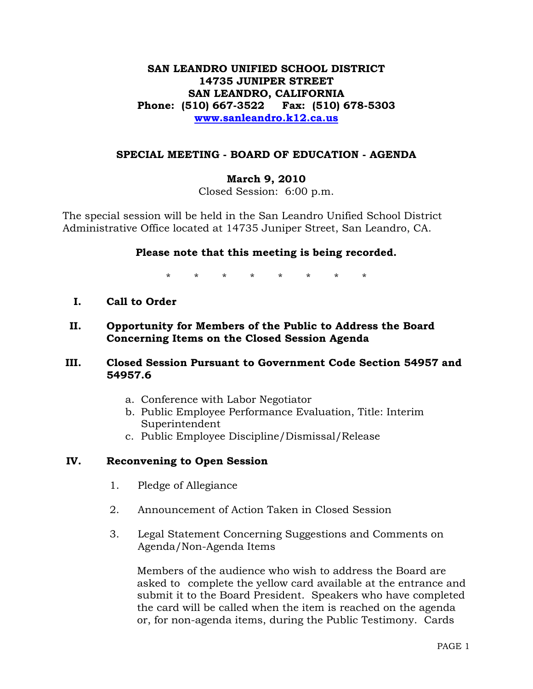# **SAN LEANDRO UNIFIED SCHOOL DISTRICT 14735 JUNIPER STREET SAN LEANDRO, CALIFORNIA Phone: (510) 667-3522 Fax: (510) 678-5303 [www.sanleandro.k12.ca.us](http://www.sanleandro.k12.ca.us/)**

## **SPECIAL MEETING - BOARD OF EDUCATION - AGENDA**

# **March 9, 2010**

Closed Session: 6:00 p.m.

The special session will be held in the San Leandro Unified School District Administrative Office located at 14735 Juniper Street, San Leandro, CA.

### **Please note that this meeting is being recorded.**

\* \* \* \* \* \* \* \*

- **I. Call to Order**
- **II. Opportunity for Members of the Public to Address the Board Concerning Items on the Closed Session Agenda**

## **III. Closed Session Pursuant to Government Code Section 54957 and 54957.6**

- a. Conference with Labor Negotiator
- b. Public Employee Performance Evaluation, Title: Interim Superintendent
- c. Public Employee Discipline/Dismissal/Release

#### **IV. Reconvening to Open Session**

- 1. Pledge of Allegiance
- 2. Announcement of Action Taken in Closed Session
- 3. Legal Statement Concerning Suggestions and Comments on Agenda/Non-Agenda Items

 Members of the audience who wish to address the Board are asked to complete the yellow card available at the entrance and submit it to the Board President. Speakers who have completed the card will be called when the item is reached on the agenda or, for non-agenda items, during the Public Testimony. Cards